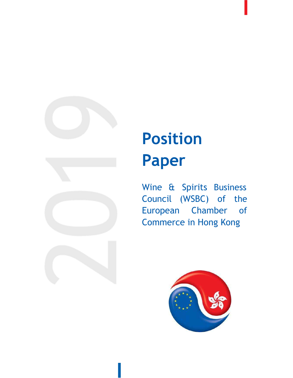

### Position Paper

Wine & Spirits Business Council (WSBC) of the European Chamber of Commerce in Hong Kong

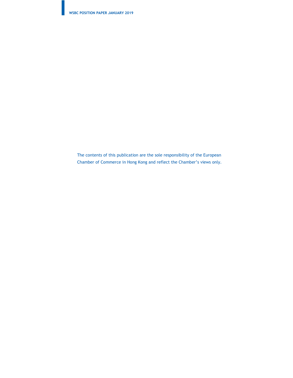The contents of this publication are the sole responsibility of the European Chamber of Commerce in Hong Kong and reflect the Chamber's views only.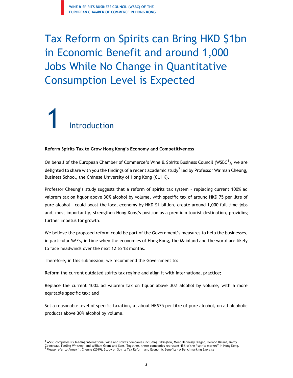### Tax Reform on Spirits can Bring HKD \$1bn in Economic Benefit and around 1,000 Jobs While No Change in Quantitative Consumption Level is Expected

# 1 Introduction

#### Reform Spirits Tax to Grow Hong Kong's Economy and Competitiveness

On behalf of the European Chamber of Commerce's Wine & Spirits Business Council (WSBC $^1$ ), we are delighted to share with you the findings of a recent academic study<sup>2</sup> led by Professor Waiman Cheung, Business School, the Chinese University of Hong Kong (CUHK).

Professor Cheung's study suggests that a reform of spirits tax system – replacing current 100% ad valorem tax on liquor above 30% alcohol by volume, with specific tax of around HKD 75 per litre of pure alcohol – could boost the local economy by HKD \$1 billion, create around 1,000 full-time jobs and, most importantly, strengthen Hong Kong's position as a premium tourist destination, providing further impetus for growth.

We believe the proposed reform could be part of the Government's measures to help the businesses, in particular SMEs, in time when the economies of Hong Kong, the Mainland and the world are likely to face headwinds over the next 12 to 18 months.

Therefore, in this submission, we recommend the Government to:

Reform the current outdated spirits tax regime and align it with international practice;

Replace the current 100% ad valorem tax on liquor above 30% alcohol by volume, with a more equitable specific tax; and

Set a reasonable level of specific taxation, at about HK\$75 per litre of pure alcohol, on all alcoholic products above 30% alcohol by volume.

 $^{\rm 1}$ WSBC comprises six leading international wine and spirits companies including Edrington, Moët Hennessy Diageo, Pernod Ricard, Remy Cointreau, Teeling Whiskey, and William Grant and Sons. Together, these companies represent 45% of the "spirits market" in Hong Kong.<br><sup>2</sup> Please refer to Annex 1: Cheung (2019), Study on Spirits Tax Reform and Economic Ben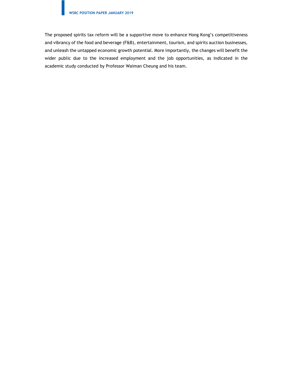The proposed spirits tax reform will be a supportive move to enhance Hong Kong's competitiveness and vibrancy of the food and beverage (F&B), entertainment, tourism, and spirits auction businesses, and unleash the untapped economic growth potential. More importantly, the changes will benefit the wider public due to the increased employment and the job opportunities, as indicated in the academic study conducted by Professor Waiman Cheung and his team.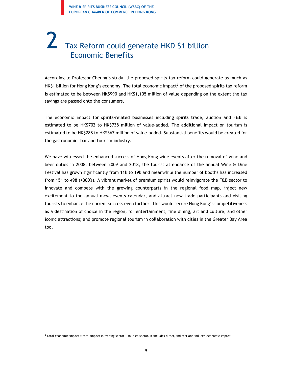### Tax Reform could generate HKD \$1 billion Economic Benefits

According to Professor Cheung's study, the proposed spirits tax reform could generate as much as HK\$1 billion for Hong Kong's economy. The total economic impact<sup>3</sup> of the proposed spirits tax reform is estimated to be between HK\$990 and HK\$1,105 million of value depending on the extent the tax savings are passed onto the consumers.

The economic impact for spirits-related businesses including spirits trade, auction and F&B is estimated to be HK\$702 to HK\$738 million of value-added. The additional impact on tourism is estimated to be HK\$288 to HK\$367 million of value-added. Substantial benefits would be created for the gastronomic, bar and tourism industry.

We have witnessed the enhanced success of Hong Kong wine events after the removal of wine and beer duties in 2008: between 2009 and 2018, the tourist attendance of the annual Wine & Dine Festival has grown significantly from 11k to 19k and meanwhile the number of booths has increased from 151 to 498 (+300%). A vibrant market of premium spirits would reinvigorate the F&B sector to innovate and compete with the growing counterparts in the regional food map, inject new excitement to the annual mega events calendar, and attract new trade participants and visiting tourists to enhance the current success even further. This would secure Hong Kong's competitiveness as a destination of choice in the region, for entertainment, fine dining, art and culture, and other iconic attractions; and promote regional tourism in collaboration with cities in the Greater Bay Area too.

 $3$ Total economic impact = total impact in trading sector + tourism sector. It includes direct, indirect and induced economic impact.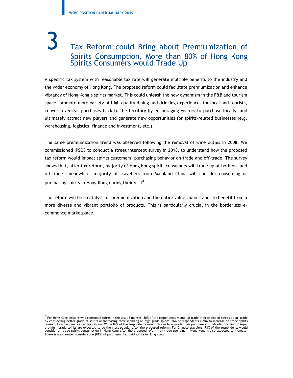### Tax Reform could Bring about Premiumization of Spirits Consumption, More than 80% of Hong Kong Spirits Consumers would Trade Up

A specific tax system with reasonable tax rate will generate multiple benefits to the industry and the wider economy of Hong Kong. The proposed reform could facilitate premiumization and enhance vibrancy of Hong Kong's spirits market. This could unleash the new dynamism in the F&B and tourism space, promote more variety of high quality dining and drinking experiences for local and tourists, convert overseas purchases back to the territory by encouraging visitors to purchase locally, and ultimately attract new players and generate new opportunities for spirits-related businesses (e.g. warehousing, logistics, finance and investment, etc.).

The same premiumization trend was observed following the removal of wine duties in 2008. We commissioned IPSOS to conduct a street intercept survey in 2018, to understand how the proposed tax reform would impact spirits customers' purchasing behavior on-trade and off-trade. The survey shows that, after tax reform, majority of Hong Kong spirits consumers will trade up at both on- and off-trade; meanwhile, majority of travellers from Mainland China will consider consuming or purchasing spirits in Hong Kong during their visit<sup>4</sup>. .

The reform will be a catalyst for premiumization and the entire value chain stands to benefit from a more diverse and vibrant portfolio of products. This is particularly crucial in the borderless ecommence marketplace.

<sup>4</sup> For Hong Kong citizens who consumed spirits in the last 12 months, 80% of the respondents would up trade their choice of spirits at on -trade by considering better grade of spirits or increasing their spending on high grade spirits. 36% of respondents claim to increase on-trade spirits<br>consumption frequency after tax reform. While 84% of the respondents would ch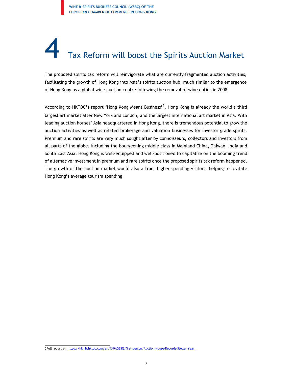## Tax Reform will boost the Spirits Auction Market

The proposed spirits tax reform will reinvigorate what are currently fragmented auction activities, facilitating the growth of Hong Kong into Asia's spirits auction hub, much similar to the emergence of Hong Kong as a global wine auction centre following the removal of wine duties in 2008.

According to HKTDC's report 'Hong Kong Means Business'<sup>5</sup>, Hong Kong is already the world's third largest art market after New York and London, and the largest international art market in Asia. With leading auction houses' Asia headquartered in Hong Kong, there is tremendous potential to grow the auction activities as well as related brokerage and valuation businesses for investor grade spirits. Premium and rare spirits are very much sought after by connoisseurs, collectors and investors from all parts of the globe, including the bourgeoning middle class in Mainland China, Taiwan, India and South East Asia. Hong Kong is well-equipped and well-positioned to capitalize on the booming trend of alternative investment in premium and rare spirits once the proposed spirits tax reform happened. The growth of the auction market would also attract higher spending visitors, helping to levitate Hong Kong's average tourism spending.

<sup>5</sup>Full report at: https://hkmb.hktdc.com/en/1X0AG6SQ/first-person/Auction-House-Records-Stellar-Year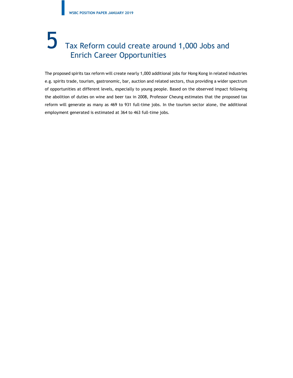### 5 Tax Reform could create around 1,000 Jobs and Enrich Career Opportunities

The proposed spirits tax reform will create nearly 1,000 additional jobs for Hong Kong in related industries e.g. spirits trade, tourism, gastronomic, bar, auction and related sectors, thus providing a wider spectrum of opportunities at different levels, especially to young people. Based on the observed impact following the abolition of duties on wine and beer tax in 2008, Professor Cheung estimates that the proposed tax reform will generate as many as 469 to 931 full-time jobs. In the tourism sector alone, the additional employment generated is estimated at 364 to 463 full-time jobs.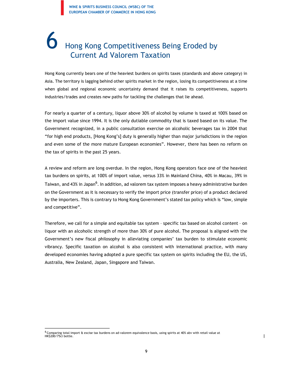### 6 Hong Kong Competitiveness Being Eroded by Current Ad Valorem Taxation

Hong Kong currently bears one of the heaviest burdens on spirits taxes (standards and above category) in Asia. The territory is lagging behind other spirits market in the region, losing its competitiveness at a time when global and regional economic uncertainty demand that it raises its competitiveness, supports industries/trades and creates new paths for tackling the challenges that lie ahead.

For nearly a quarter of a century, liquor above 30% of alcohol by volume is taxed at 100% based on the import value since 1994. It is the only dutiable commodity that is taxed based on its value. The Government recognized, in a public consultation exercise on alcoholic beverages tax in 2004 that "for high end products, [Hong Kong's] duty is generally higher than major jurisdictions in the region and even some of the more mature European economies". However, there has been no reform on the tax of spirits in the past 25 years.

A review and reform are long overdue. In the region, Hong Kong operators face one of the heaviest tax burdens on spirits, at 100% of import value, versus 33% in Mainland China, 40% in Macau, 39% in Taiwan, and 43% in Japan<sup>6</sup>. In addition, ad valorem tax system imposes a heavy administrative burden on the Government as it is necessary to verify the import price (transfer price) of a product declared by the importers. This is contrary to Hong Kong Government's stated tax policy which is "low, simple and competitive".

Therefore, we call for a simple and equitable tax system – specific tax based on alcohol content – on liquor with an alcoholic strength of more than 30% of pure alcohol. The proposal is aligned with the Government's new fiscal philosophy in alleviating companies' tax burden to stimulate economic vibrancy. Specific taxation on alcohol is also consistent with international practice, with many developed economies having adopted a pure specific tax system on spirits including the EU, the US, Australia, New Zealand, Japan, Singapore and Taiwan.

 $\overline{1}$ 

 $^6$  Comparing total import & excise tax burdens on ad-valorem equivalence basis, using spirits at 40% abv with retail value at<br>HK\$200/75cl bottle.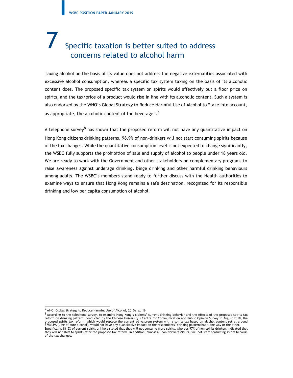#### Specific taxation is better suited to address concerns related to alcohol harm

Taxing alcohol on the basis of its value does not address the negative externalities associated with excessive alcohol consumption, whereas a specific tax system taxing on the basis of its alcoholic content does. The proposed specific tax system on spirits would effectively put a floor price on spirits, and the tax/price of a product would rise in line with its alcoholic content. Such a system is also endorsed by the WHO's Global Strategy to Reduce Harmful Use of Alcohol to "take into account, as appropriate, the alcoholic content of the beverage".<sup>7</sup>

A telephone survey<sup>8</sup> has shown that the proposed reform will not have any quantitative impact on Hong Kong citizens drinking patterns, 98.9% of non-drinkers will not start consuming spirits because of the tax changes. While the quantitative consumption level is not expected to change significantly, the WSBC fully supports the prohibition of sale and supply of alcohol to people under 18 years old. We are ready to work with the Government and other stakeholders on complementary programs to raise awareness against underage drinking, binge drinking and other harmful drinking behaviours among adults. The WSBC's members stand ready to further discuss with the Health authorities to examine ways to ensure that Hong Kong remains a safe destination, recognized for its responsible drinking and low per capita consumption of alcohol.

<sup>7</sup>WHO, Global Strategy to Reduce Harmful Use of Alcohol, 2010a, p. 16

<sup>8</sup> According to the telephone survey, to examine Hong Kong's citizens' current drinking behavior and the effects of the proposed spirits tax reform on drinking pattern, conducted by the Chinese University's Centre for Communication and Public Opinion Survey in August 2018, the<br>proposed spirits tax reform, which would replace the current ad valorem system with a Specifically, 81.5% of current spirits drinkers stated that they will not consume more spirits, whereas 97% of non-spirits drinkers indicated that they will not shift to spirits after the proposed tax reform. In addition, almost all non-drinkers (98.9%) will not start consuming spirits because of the tax changes.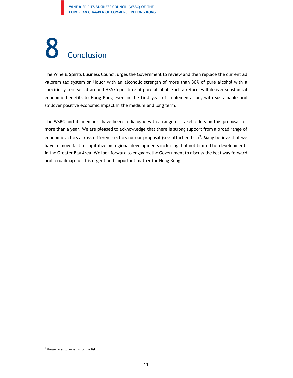# 8 Conclusion

The Wine & Spirits Business Council urges the Government to review and then replace the current ad valorem tax system on liquor with an alcoholic strength of more than 30% of pure alcohol with a specific system set at around HK\$75 per litre of pure alcohol. Such a reform will deliver substantial economic benefits to Hong Kong even in the first year of implementation, with sustainable and spillover positive economic impact in the medium and long term.

The WSBC and its members have been in dialogue with a range of stakeholders on this proposal for more than a year. We are pleased to acknowledge that there is strong support from a broad range of economic actors across different sectors for our proposal (see attached list) $^9$ . Many believe that we have to move fast to capitalize on regional developments including, but not limited to, developments in the Greater Bay Area. We look forward to engaging the Government to discuss the best way forward and a roadmap for this urgent and important matter for Hong Kong.

<sup>&</sup>lt;sup>9</sup>Please refer to annex 4 for the list